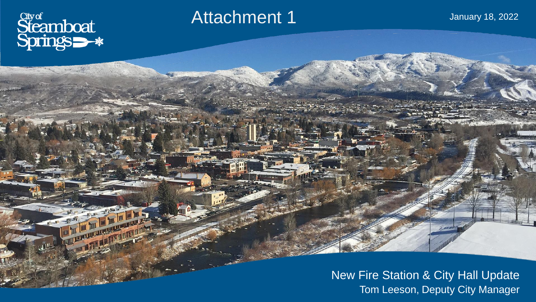

 $w$ 

### Attachment 1

January 18, 2022

New Fire Station & City Hall Update Tom Leeson, Deputy City Manager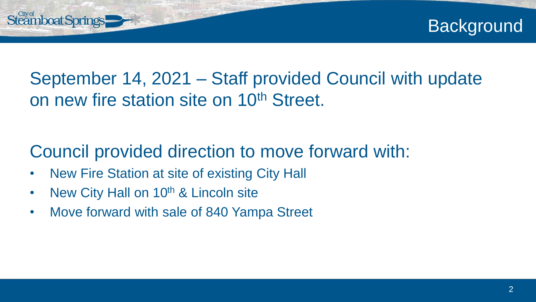

# Steamboat Springs

## September 14, 2021 – Staff provided Council with update on new fire station site on 10<sup>th</sup> Street.

## Council provided direction to move forward with:

- New Fire Station at site of existing City Hall
- New City Hall on 10<sup>th</sup> & Lincoln site
- Move forward with sale of 840 Yampa Street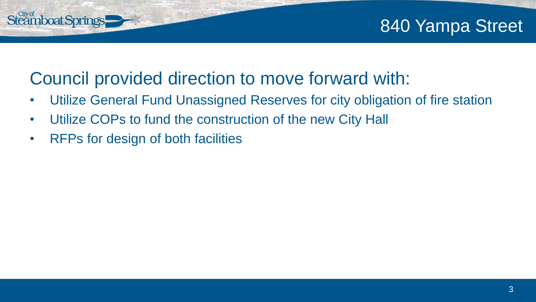### 840 Yampa Street

### Council provided direction to move forward with:

- Utilize General Fund Unassigned Reserves for city obligation of fire station
- Utilize COPs to fund the construction of the new City Hall
- RFPs for design of both facilities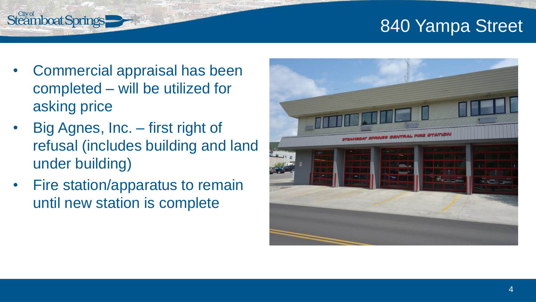### 840 Yampa Street

• Commercial appraisal has been completed – will be utilized for asking price

- Big Agnes, Inc. first right of refusal (includes building and land under building)
- Fire station/apparatus to remain until new station is complete

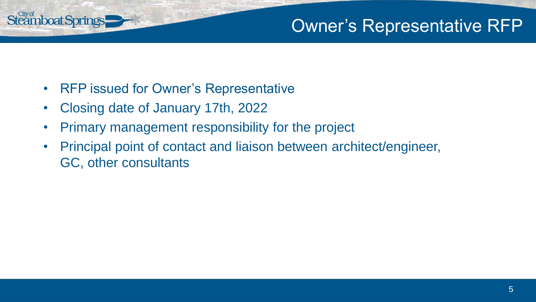### Owner's Representative RFP

**nboat Springs** 

- RFP issued for Owner's Representative
- Closing date of January 17th, 2022
- Primary management responsibility for the project
- Principal point of contact and liaison between architect/engineer, GC, other consultants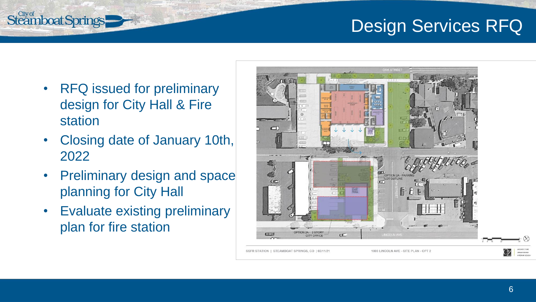### Design Services RFQ

• RFQ issued for preliminary design for City Hall & Fire station

- Closing date of January 10th, 2022
- Preliminary design and space planning for City Hall
- Evaluate existing preliminary plan for fire station

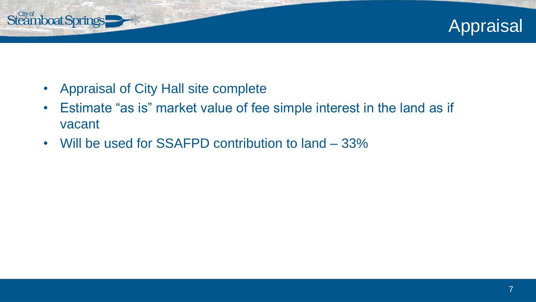

• Appraisal of City Hall site complete

- Estimate "as is" market value of fee simple interest in the land as if vacant
- Will be used for SSAFPD contribution to land 33%